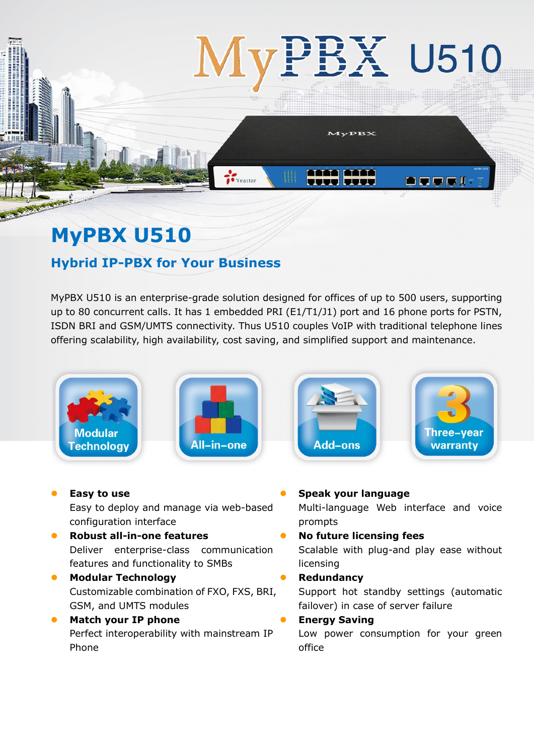# **MyPBX U510**

# **Hybrid IP-PBX for Your Business**

MyPBX U510 is an enterprise-grade solution designed for offices of up to 500 users, supporting up to 80 concurrent calls. It has 1 embedded PRI (E1/T1/J1) port and 16 phone ports for PSTN, ISDN BRI and GSM/UMTS connectivity. Thus U510 couples VoIP with traditional telephone lines offering scalability, high availability, cost saving, and simplified support and maintenance.



- **Easy to use**  Easy to deploy and manage via web-based configuration interface
- **Robust all-in-one features**  Deliver enterprise-class communication features and functionality to SMBs
- **Modular Technology** Customizable combination of FXO, FXS, BRI, GSM, and UMTS modules
- **•** Match your IP phone Perfect interoperability with mainstream IP Phone
- **Speak your language** Multi-language Web interface and voice prompts **No future licensing fees** 
	- Scalable with plug-and play ease without licensing
- **Redundancy**

Support hot standby settings (automatic failover) in case of server failure

**Energy Saving** 

Low power consumption for your green office